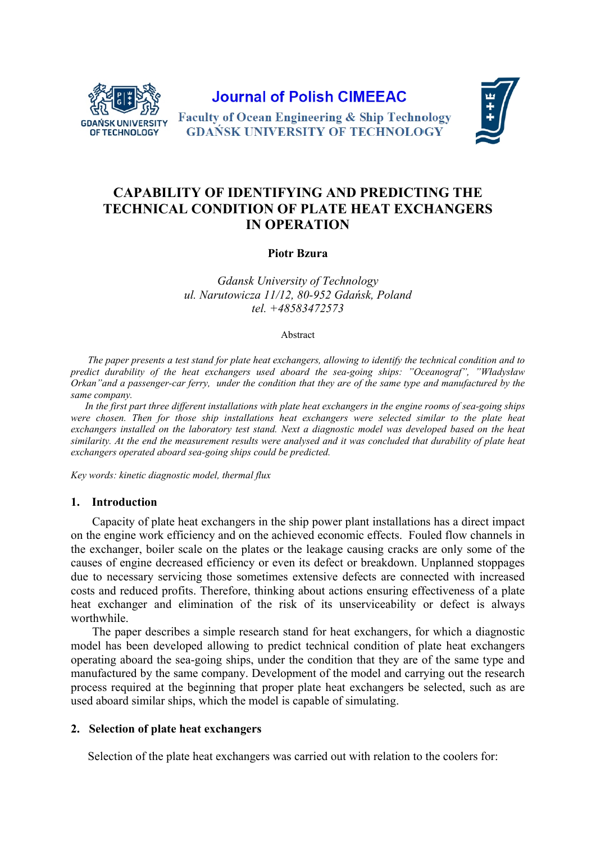

**Journal of Polish CIMEEAC** 



**Faculty of Ocean Engineering & Ship Technology GDAŃSK UNIVERSITY OF TECHNOLOGY** 

# **CAPABILITY OF IDENTIFYING AND PREDICTING THE TECHNICAL CONDITION OF PLATE HEAT EXCHANGERS IN OPERATION**

**Piotr Bzura** 

*Gdansk University of Technology ul. Narutowicza 11/12, 80-952 Gdańsk, Poland tel. +48583472573* 

Abstract

 *The paper presents a test stand for plate heat exchangers, allowing to identify the technical condition and to predict durability of the heat exchangers used aboard the sea-going ships: "Oceanograf", "Władysław Orkan"and a passenger-car ferry, under the condition that they are of the same type and manufactured by the same company.* 

*In the first part three different installations with plate heat exchangers in the engine rooms of sea-going ships*  were chosen. Then for those ship installations heat exchangers were selected similar to the plate heat *exchangers installed on the laboratory test stand. Next a diagnostic model was developed based on the heat similarity. At the end the measurement results were analysed and it was concluded that durability of plate heat exchangers operated aboard sea-going ships could be predicted.* 

*Key words: kinetic diagnostic model, thermal flux* 

### **1. Introduction**

Capacity of plate heat exchangers in the ship power plant installations has a direct impact on the engine work efficiency and on the achieved economic effects. Fouled flow channels in the exchanger, boiler scale on the plates or the leakage causing cracks are only some of the causes of engine decreased efficiency or even its defect or breakdown. Unplanned stoppages due to necessary servicing those sometimes extensive defects are connected with increased costs and reduced profits. Therefore, thinking about actions ensuring effectiveness of a plate heat exchanger and elimination of the risk of its unserviceability or defect is always worthwhile.

The paper describes a simple research stand for heat exchangers, for which a diagnostic model has been developed allowing to predict technical condition of plate heat exchangers operating aboard the sea-going ships, under the condition that they are of the same type and manufactured by the same company. Development of the model and carrying out the research process required at the beginning that proper plate heat exchangers be selected, such as are used aboard similar ships, which the model is capable of simulating.

## **2. Selection of plate heat exchangers**

Selection of the plate heat exchangers was carried out with relation to the coolers for: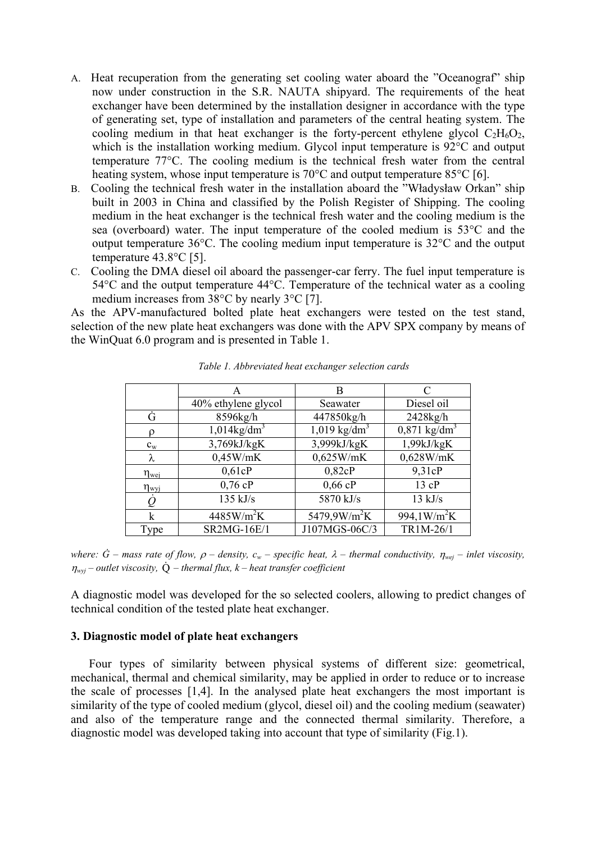- A. Heat recuperation from the generating set cooling water aboard the "Oceanograf" ship now under construction in the S.R. NAUTA shipyard. The requirements of the heat exchanger have been determined by the installation designer in accordance with the type of generating set, type of installation and parameters of the central heating system. The cooling medium in that heat exchanger is the forty-percent ethylene glycol  $C_2H_6O_2$ , which is the installation working medium. Glycol input temperature is 92°C and output temperature 77°C. The cooling medium is the technical fresh water from the central heating system, whose input temperature is 70°C and output temperature 85°C [6].
- B. Cooling the technical fresh water in the installation aboard the "Władysław Orkan" ship built in 2003 in China and classified by the Polish Register of Shipping. The cooling medium in the heat exchanger is the technical fresh water and the cooling medium is the sea (overboard) water. The input temperature of the cooled medium is 53°C and the output temperature 36°C. The cooling medium input temperature is 32°C and the output temperature 43.8°C [5].
- C. Cooling the DMA diesel oil aboard the passenger-car ferry. The fuel input temperature is 54°C and the output temperature 44°C. Temperature of the technical water as a cooling medium increases from 38°C by nearly 3°C [7].

As the APV-manufactured bolted plate heat exchangers were tested on the test stand, selection of the new plate heat exchangers was done with the APV SPX company by means of the WinQuat 6.0 program and is presented in Table 1.

|                 |                            | B                          | $\mathcal{C}$           |  |
|-----------------|----------------------------|----------------------------|-------------------------|--|
|                 | 40% ethylene glycol        | Seawater                   | Diesel oil              |  |
| Ġ               | 8596kg/h                   | 447850kg/h                 | 2428kg/h                |  |
| ρ               | $1,014$ kg/dm <sup>3</sup> | $1,019$ kg/dm <sup>3</sup> | $0,871 \text{ kg/dm}^3$ |  |
| $c_{w}$         | 3,769kJ/kgK                | 3,999kJ/kgK                | 1,99kJ/kgK              |  |
| λ               | 0,45W/mK                   | $0,625$ W/mK               | $0,628$ W/mK            |  |
| $\eta_{wei}$    | 0,61cP                     | 0,82cP                     | 9,31cP                  |  |
| $\eta_{wvi}$    | $0,76$ cP                  | $0,66$ cP                  | 13 cP                   |  |
| $\dot{\varrho}$ | $135$ kJ/s                 | 5870 kJ/s                  | $13$ kJ/s               |  |
| k               | 4485W/m <sup>2</sup> K     | 5479,9W/ $m^2K$            | 994,1 $W/m^2K$          |  |
| Type            | SR2MG-16E/1                | J107MGS-06C/3              | TR1M-26/1               |  |

*Table 1. Abbreviated heat exchanger selection cards* 

*where:*  $\dot{G}$  – mass rate of flow,  $\rho$  – density,  $c_w$  – specific heat,  $\lambda$  – thermal conductivity,  $\eta_{wej}$  – inlet viscosity,  $\eta_{wvi}$  – outlet viscosity,  $\dot{Q}$  – thermal flux, k – heat transfer coefficient

A diagnostic model was developed for the so selected coolers, allowing to predict changes of technical condition of the tested plate heat exchanger.

### **3. Diagnostic model of plate heat exchangers**

 Four types of similarity between physical systems of different size: geometrical, mechanical, thermal and chemical similarity, may be applied in order to reduce or to increase the scale of processes [1,4]. In the analysed plate heat exchangers the most important is similarity of the type of cooled medium (glycol, diesel oil) and the cooling medium (seawater) and also of the temperature range and the connected thermal similarity. Therefore, a diagnostic model was developed taking into account that type of similarity (Fig.1).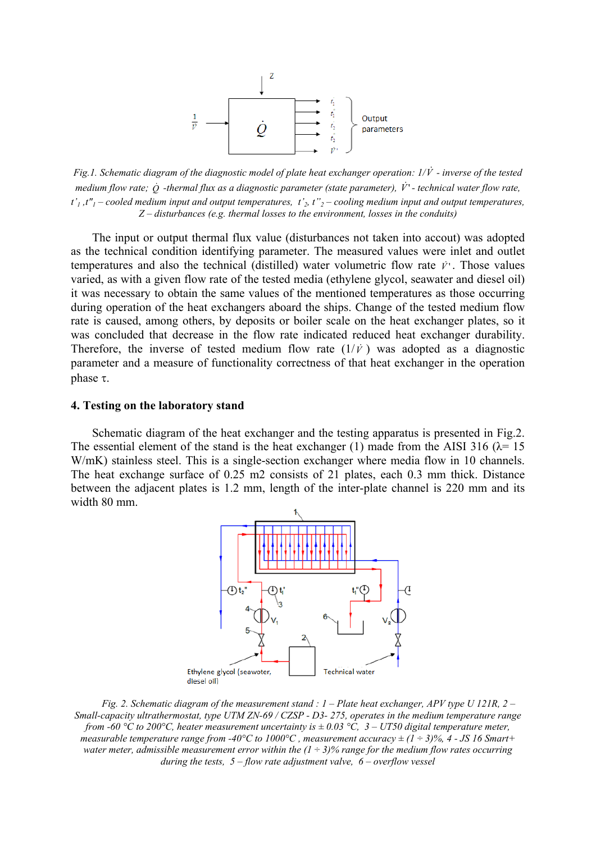

*Fig.1. Schematic diagram of the diagnostic model of plate heat exchanger operation: 1/V - inverse of the tested medium flow rate; Q -thermal flux as a diagnostic parameter (state parameter),*  $\dot{V}$  *- technical water flow rate,*  $t'_1$ ,  $t''_1$  – cooled medium input and output temperatures,  $t'_2$ ,  $t''_2$  – cooling medium input and output temperatures, *Z – disturbances (e.g. thermal losses to the environment, losses in the conduits)* 

The input or output thermal flux value (disturbances not taken into accout) was adopted as the technical condition identifying parameter. The measured values were inlet and outlet temperatures and also the technical (distilled) water volumetric flow rate  $\dot{v}$ . Those values varied, as with a given flow rate of the tested media (ethylene glycol, seawater and diesel oil) it was necessary to obtain the same values of the mentioned temperatures as those occurring during operation of the heat exchangers aboard the ships. Change of the tested medium flow rate is caused, among others, by deposits or boiler scale on the heat exchanger plates, so it was concluded that decrease in the flow rate indicated reduced heat exchanger durability. Therefore, the inverse of tested medium flow rate  $(1/\dot{V})$  was adopted as a diagnostic parameter and a measure of functionality correctness of that heat exchanger in the operation phase  $\tau$ .

#### **4. Testing on the laboratory stand**

Schematic diagram of the heat exchanger and the testing apparatus is presented in Fig.2. The essential element of the stand is the heat exchanger (1) made from the AISI 316 ( $\lambda$ = 15 W/mK) stainless steel. This is a single-section exchanger where media flow in 10 channels. The heat exchange surface of 0.25 m2 consists of 21 plates, each 0.3 mm thick. Distance between the adjacent plates is 1.2 mm, length of the inter-plate channel is 220 mm and its width 80 mm.



*Fig. 2. Schematic diagram of the measurement stand : 1 – Plate heat exchanger, APV type U 121R, 2 – Small-capacity ultrathermostat, type UTM ZN-69 / CZSP - D3- 275, operates in the medium temperature range from -60 °C to 200°C, heater measurement uncertainty is ± 0.03 °C, 3 – UT50 digital temperature meter, measurable temperature range from -40°C to 1000°C, measurement accuracy*  $\pm (1 \div 3)\%$ , 4 - JS 16 Smart+ *water meter, admissible measurement error within the*  $(1 \div 3)\%$  *range for the medium flow rates occurring during the tests, 5 – flow rate adjustment valve, 6 – overflow vessel*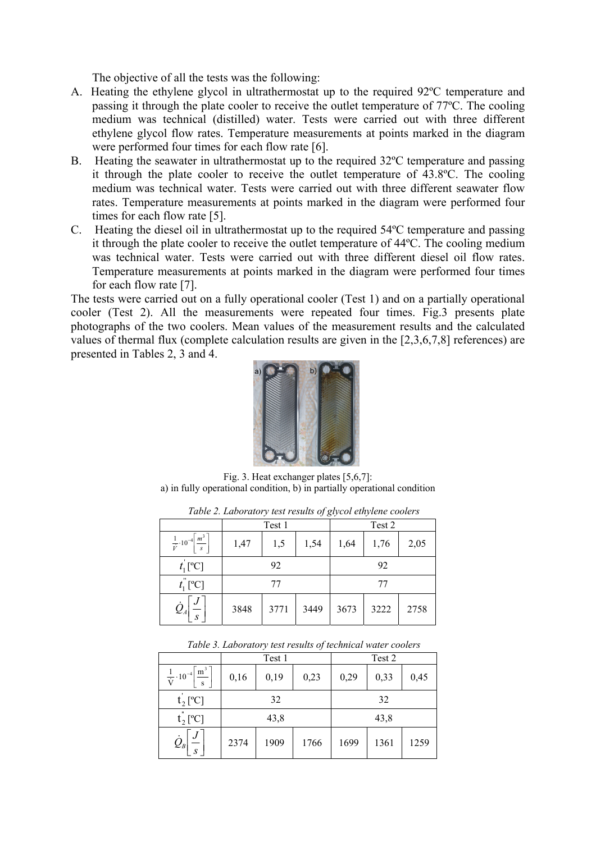The objective of all the tests was the following:

- A. Heating the ethylene glycol in ultrathermostat up to the required 92ºC temperature and passing it through the plate cooler to receive the outlet temperature of 77ºC. The cooling medium was technical (distilled) water. Tests were carried out with three different ethylene glycol flow rates. Temperature measurements at points marked in the diagram were performed four times for each flow rate [6].
- B. Heating the seawater in ultrathermostat up to the required 32ºC temperature and passing it through the plate cooler to receive the outlet temperature of 43.8ºC. The cooling medium was technical water. Tests were carried out with three different seawater flow rates. Temperature measurements at points marked in the diagram were performed four times for each flow rate [5].
- C. Heating the diesel oil in ultrathermostat up to the required 54ºC temperature and passing it through the plate cooler to receive the outlet temperature of 44ºC. The cooling medium was technical water. Tests were carried out with three different diesel oil flow rates. Temperature measurements at points marked in the diagram were performed four times for each flow rate [7].

The tests were carried out on a fully operational cooler (Test 1) and on a partially operational cooler (Test 2). All the measurements were repeated four times. Fig.3 presents plate photographs of the two coolers. Mean values of the measurement results and the calculated values of thermal flux (complete calculation results are given in the [2,3,6,7,8] references) are presented in Tables 2, 3 and 4.



Fig. 3. Heat exchanger plates [5,6,7]: a) in fully operational condition, b) in partially operational condition

|                                                                |      | Test 1 |      | Test 2 |      |      |  |
|----------------------------------------------------------------|------|--------|------|--------|------|------|--|
| $\frac{1}{\dot{V}} \cdot 10^{-4} \left[ \frac{m^3}{r} \right]$ | 1,47 | 1,5    | 1,54 | 1,64   | 1,76 | 2,05 |  |
| $t_1$ [°C]                                                     | 92   |        |      | 92     |      |      |  |
| $t_1$ [ <sup>o</sup> C]                                        | 77   |        |      | 77     |      |      |  |
| $Q_{\scriptscriptstyle A}$<br>S                                | 3848 | 3771   | 3449 | 3673   | 3222 | 2758 |  |

*Table 2. Laboratory test results of glycol ethylene coolers* 

| Tuble 5. Eugenius y lest results of lecturieur mater coolers |        |      |      |        |      |      |  |  |
|--------------------------------------------------------------|--------|------|------|--------|------|------|--|--|
|                                                              | Test 1 |      |      | Test 2 |      |      |  |  |
| $m^{3}$<br>$\frac{1}{\dot{V}} \cdot 10^{-4}$<br>S            | 0,16   | 0,19 | 0,23 | 0,29   | 0,33 | 0,45 |  |  |
| $t_2$ [°C]                                                   | 32     |      |      | 32     |      |      |  |  |
| $t_{2}^{"}[{}^{o}C]$                                         | 43,8   |      |      | 43,8   |      |      |  |  |
| $\mathcal{Q}_{\scriptscriptstyle{B}}$<br>$\boldsymbol{S}$    | 2374   | 1909 | 1766 | 1699   | 1361 | 1259 |  |  |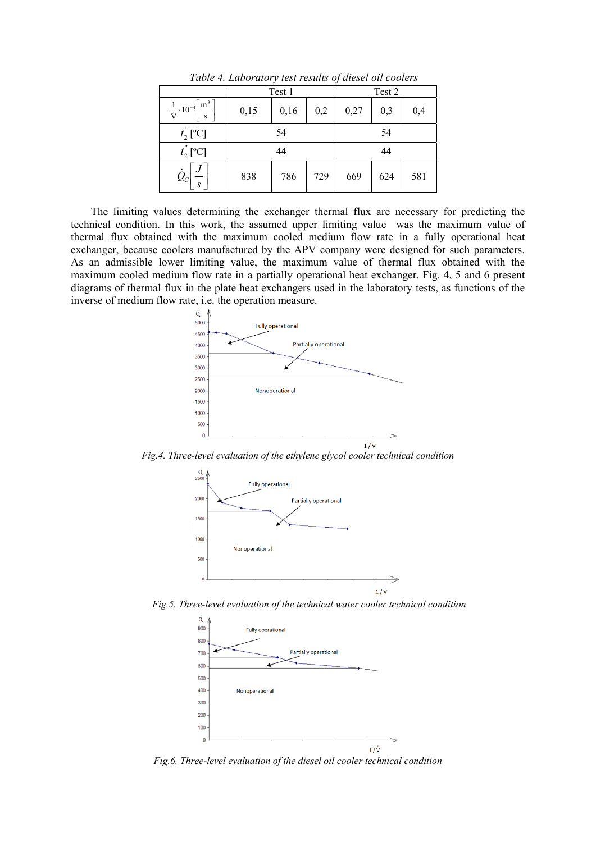|                                                       | Test 1 |      |     | Test 2 |     |     |
|-------------------------------------------------------|--------|------|-----|--------|-----|-----|
| $m^3$<br>$\frac{1}{\dot{V}} \cdot 10^{-4}$<br>s       | 0,15   | 0,16 | 0,2 | 0,27   | 0,3 | 0,4 |
| $t_2$ [°C]                                            | 54     |      |     | 54     |     |     |
| $t_2^{\prime\prime}$ [°C]                             | 44     |      |     | 44     |     |     |
| J<br>$\varrho_{\scriptscriptstyle\!\mathscr{C}}$<br>S | 838    | 786  | 729 | 669    | 624 | 581 |

*Table 4. Laboratory test results of diesel oil coolers* 

The limiting values determining the exchanger thermal flux are necessary for predicting the technical condition. In this work, the assumed upper limiting value was the maximum value of thermal flux obtained with the maximum cooled medium flow rate in a fully operational heat exchanger, because coolers manufactured by the APV company were designed for such parameters. As an admissible lower limiting value, the maximum value of thermal flux obtained with the maximum cooled medium flow rate in a partially operational heat exchanger. Fig. 4, 5 and 6 present diagrams of thermal flux in the plate heat exchangers used in the laboratory tests, as functions of the inverse of medium flow rate, i.e. the operation measure.



*Fig.4. Three-level evaluation of the ethylene glycol cooler technical condition* 



 *Fig.5. Three-level evaluation of the technical water cooler technical condition* 



*Fig.6. Three-level evaluation of the diesel oil cooler technical condition*